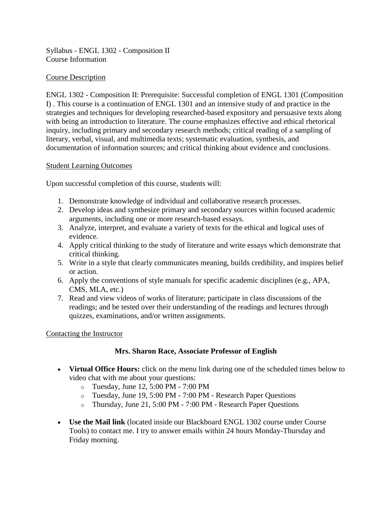Syllabus - ENGL 1302 - Composition II Course Information

### Course Description

ENGL 1302 - Composition II: Prerequisite: Successful completion of ENGL 1301 (Composition I) . This course is a continuation of ENGL 1301 and an intensive study of and practice in the strategies and techniques for developing researched-based expository and persuasive texts along with being an introduction to literature. The course emphasizes effective and ethical rhetorical inquiry, including primary and secondary research methods; critical reading of a sampling of literary, verbal, visual, and multimedia texts; systematic evaluation, synthesis, and documentation of information sources; and critical thinking about evidence and conclusions.

### Student Learning Outcomes

Upon successful completion of this course, students will:

- 1. Demonstrate knowledge of individual and collaborative research processes.
- 2. Develop ideas and synthesize primary and secondary sources within focused academic arguments, including one or more research-based essays.
- 3. Analyze, interpret, and evaluate a variety of texts for the ethical and logical uses of evidence.
- 4. Apply critical thinking to the study of literature and write essays which demonstrate that critical thinking.
- 5. Write in a style that clearly communicates meaning, builds credibility, and inspires belief or action.
- 6. Apply the conventions of style manuals for specific academic disciplines (e.g., APA, CMS, MLA, etc.)
- 7. Read and view videos of works of literature; participate in class discussions of the readings; and be tested over their understanding of the readings and lectures through quizzes, examinations, and/or written assignments.

### Contacting the Instructor

## **Mrs. Sharon Race, Associate Professor of English**

- **Virtual Office Hours:** click on the menu link during one of the scheduled times below to video chat with me about your questions:
	- o Tuesday, June 12, 5:00 PM 7:00 PM
	- o Tuesday, June 19, 5:00 PM 7:00 PM Research Paper Questions
	- o Thursday, June 21, 5:00 PM 7:00 PM Research Paper Questions
- **Use the Mail link** (located inside our Blackboard ENGL 1302 course under Course Tools) to contact me. I try to answer emails within 24 hours Monday-Thursday and Friday morning.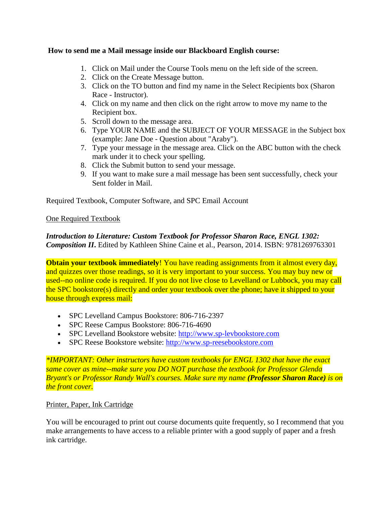### **How to send me a Mail message inside our Blackboard English course:**

- 1. Click on Mail under the Course Tools menu on the left side of the screen.
- 2. Click on the Create Message button.
- 3. Click on the TO button and find my name in the Select Recipients box (Sharon Race - Instructor).
- 4. Click on my name and then click on the right arrow to move my name to the Recipient box.
- 5. Scroll down to the message area.
- 6. Type YOUR NAME and the SUBJECT OF YOUR MESSAGE in the Subject box (example: Jane Doe - Question about "Araby").
- 7. Type your message in the message area. Click on the ABC button with the check mark under it to check your spelling.
- 8. Click the Submit button to send your message.
- 9. If you want to make sure a mail message has been sent successfully, check your Sent folder in Mail.

Required Textbook, Computer Software, and SPC Email Account

### One Required Textbook

## *Introduction to Literature: Custom Textbook for Professor Sharon Race, ENGL 1302: Composition II***.** Edited by Kathleen Shine Caine et al., Pearson, 2014. ISBN: 9781269763301

**Obtain your textbook immediately**! You have reading assignments from it almost every day, and quizzes over those readings, so it is very important to your success. You may buy new or used--no online code is required. If you do not live close to Levelland or Lubbock, you may call the SPC bookstore(s) directly and order your textbook over the phone; have it shipped to your house through express mail:

- SPC Levelland Campus Bookstore: 806-716-2397
- SPC Reese Campus Bookstore: 806-716-4690
- SPC Levelland Bookstore website: [http://www.sp-levbookstore.com](http://www.sp-levbookstore.com/home.aspx)
- SPC Reese Bookstore website: [http://www.sp-reesebookstore.com](http://www.sp-reesebookstore.com/home.aspx)

*\*IMPORTANT: Other instructors have custom textbooks for ENGL 1302 that have the exact same cover as mine--make sure you DO NOT purchase the textbook for Professor Glenda Bryant's or Professor Randy Wall's courses. Make sure my name (Professor Sharon Race) is on the front cover.*

### Printer, Paper, Ink Cartridge

You will be encouraged to print out course documents quite frequently, so I recommend that you make arrangements to have access to a reliable printer with a good supply of paper and a fresh ink cartridge.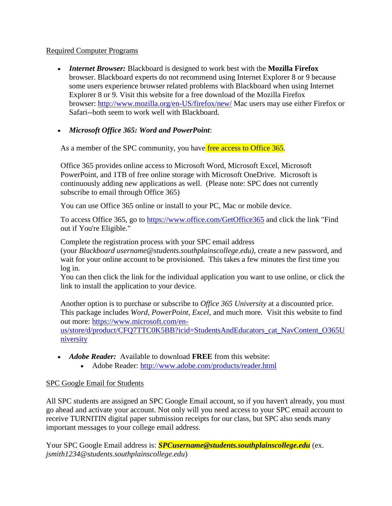## Required Computer Programs

• *Internet Browser:* Blackboard is designed to work best with the **Mozilla Firefox** browser. Blackboard experts do not recommend using Internet Explorer 8 or 9 because some users experience browser related problems with Blackboard when using Internet Explorer 8 or 9. Visit this website for a free download of the Mozilla Firefox browser: <http://www.mozilla.org/en-US/firefox/new/> Mac users may use either Firefox or Safari--both seem to work well with Blackboard.

## • *Microsoft Office 365: Word and PowerPoint*:

As a member of the SPC community, you have free access to Office 365.

Office 365 provides online access to Microsoft Word, Microsoft Excel, Microsoft PowerPoint, and 1TB of free online storage with Microsoft OneDrive. Microsoft is continuously adding new applications as well. (Please note: SPC does not currently subscribe to email through Office 365)

You can use Office 365 online or install to your PC, Mac or mobile device.

To access Office 365, go to <https://www.office.com/GetOffice365> and click the link "Find out if You're Eligible."

Complete the registration process with your SPC email address

(your *Blackboard username@students.southplainscollege.edu)*, create a new password, and wait for your online account to be provisioned. This takes a few minutes the first time you log in.

You can then click the link for the individual application you want to use online, or click the link to install the application to your device.

Another option is to purchase or subscribe to *Office 365 University* at a discounted price. This package includes *Word, PowerPoint, Excel*, and much more. Visit this website to find out more: [https://www.microsoft.com/en-](https://www.microsoft.com/en-us/store/d/product/CFQ7TTC0K5BB?icid=StudentsAndEducators_cat_NavContent_O365University)

[us/store/d/product/CFQ7TTC0K5BB?icid=StudentsAndEducators\\_cat\\_NavContent\\_O365U](https://www.microsoft.com/en-us/store/d/product/CFQ7TTC0K5BB?icid=StudentsAndEducators_cat_NavContent_O365University) [niversity](https://www.microsoft.com/en-us/store/d/product/CFQ7TTC0K5BB?icid=StudentsAndEducators_cat_NavContent_O365University)

- *Adobe Reader:* Available to download **FREE** from this website:
	- Adobe Reader:<http://www.adobe.com/products/reader.html>

## SPC Google Email for Students

All SPC students are assigned an SPC Google Email account, so if you haven't already, you must go ahead and activate your account. Not only will you need access to your SPC email account to receive TURNITIN digital paper submission receipts for our class, but SPC also sends many important messages to your college email address.

Your SPC Google Email address is: *SPCusername@students.southplainscollege.edu* (ex. *jsmith1234@students.southplainscollege.edu*)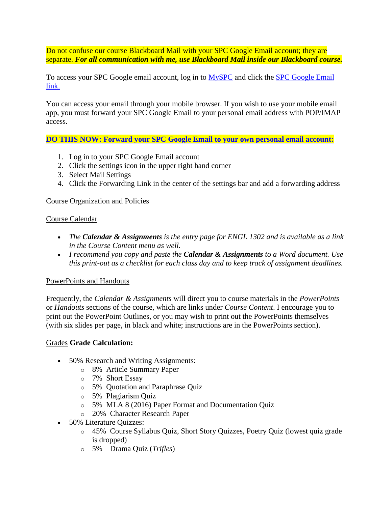Do not confuse our course Blackboard Mail with your SPC Google Email account; they are separate. *For all communication with me, use Blackboard Mail inside our Blackboard course.*

To access your SPC Google email account, log in to [MySPC](https://myspc.southplainscollege.edu/) and click the [SPC Google Email](http://mail.students.southplainscollege.edu/)  [link.](http://mail.students.southplainscollege.edu/)

You can access your email through your mobile browser. If you wish to use your mobile email app, you must forward your SPC Google Email to your personal email address with POP/IMAP access.

**[DO THIS NOW: Forward your SPC Google Email to your own personal email account:](https://myspc.southplainscollege.edu/ICS/)**

- 1. Log in to your SPC Google Email account
- 2. Click the settings icon in the upper right hand corner
- 3. Select Mail Settings
- 4. Click the Forwarding Link in the center of the settings bar and add a forwarding address

Course Organization and Policies

#### Course Calendar

- *The Calendar & Assignments is the entry page for ENGL 1302 and is available as a link in the Course Content menu as well.*
- *I recommend you copy and paste the Calendar & Assignments to a Word document. Use this print-out as a checklist for each class day and to keep track of assignment deadlines.*

### PowerPoints and Handouts

Frequently, the *Calendar & Assignments* will direct you to course materials in the *PowerPoints* or *Handouts* sections of the course, which are links under *Course Content*. I encourage you to print out the PowerPoint Outlines, or you may wish to print out the PowerPoints themselves (with six slides per page, in black and white; instructions are in the PowerPoints section).

### Grades **Grade Calculation:**

- 50% Research and Writing Assignments:
	- o 8% Article Summary Paper
	- o 7% Short Essay
	- o 5% Quotation and Paraphrase Quiz
	- o 5% Plagiarism Quiz
	- o 5% MLA 8 (2016) Paper Format and Documentation Quiz
	- o 20% Character Research Paper
- 50% Literature Ouizzes:
	- o 45% Course Syllabus Quiz, Short Story Quizzes, Poetry Quiz (lowest quiz grade is dropped)
	- o 5% Drama Quiz (*Trifles*)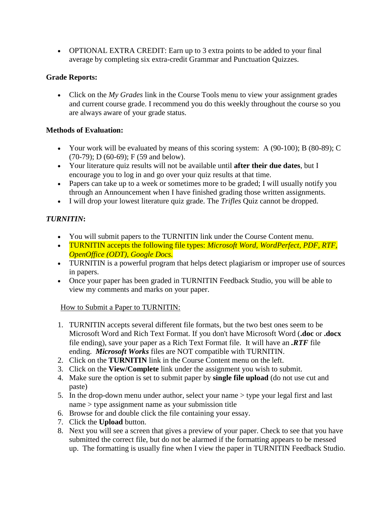• OPTIONAL EXTRA CREDIT: Earn up to 3 extra points to be added to your final average by completing six extra-credit Grammar and Punctuation Quizzes.

# **Grade Reports:**

• Click on the *My Grades* link in the Course Tools menu to view your assignment grades and current course grade. I recommend you do this weekly throughout the course so you are always aware of your grade status.

# **Methods of Evaluation:**

- Your work will be evaluated by means of this scoring system: A (90-100); B (80-89); C (70-79); D (60-69); F (59 and below).
- Your literature quiz results will not be available until **after their due dates**, but I encourage you to log in and go over your quiz results at that time.
- Papers can take up to a week or sometimes more to be graded; I will usually notify you through an Announcement when I have finished grading those written assignments.
- I will drop your lowest literature quiz grade. The *Trifles* Quiz cannot be dropped.

# *TURNITIN***:**

- You will submit papers to the TURNITIN link under the Course Content menu.
- TURNITIN accepts the following file types: *Microsoft Word, WordPerfect, PDF, RTF, OpenOffice (ODT), Google Docs.*
- TURNITIN is a powerful program that helps detect plagiarism or improper use of sources in papers.
- Once your paper has been graded in TURNITIN Feedback Studio, you will be able to view my comments and marks on your paper.

# How to Submit a Paper to TURNITIN:

- 1. TURNITIN accepts several different file formats, but the two best ones seem to be Microsoft Word and Rich Text Format. If you don't have Microsoft Word (**.doc** or **.docx** file ending), save your paper as a Rich Text Format file. It will have an *.RTF* file ending. *Microsoft Works* files are NOT compatible with TURNITIN.
- 2. Click on the **TURNITIN** link in the Course Content menu on the left.
- 3. Click on the **View/Complete** link under the assignment you wish to submit.
- 4. Make sure the option is set to submit paper by **single file upload** (do not use cut and paste)
- 5. In the drop-down menu under author, select your name > type your legal first and last name > type assignment name as your submission title
- 6. Browse for and double click the file containing your essay.
- 7. Click the **Upload** button.
- 8. Next you will see a screen that gives a preview of your paper. Check to see that you have submitted the correct file, but do not be alarmed if the formatting appears to be messed up. The formatting is usually fine when I view the paper in TURNITIN Feedback Studio.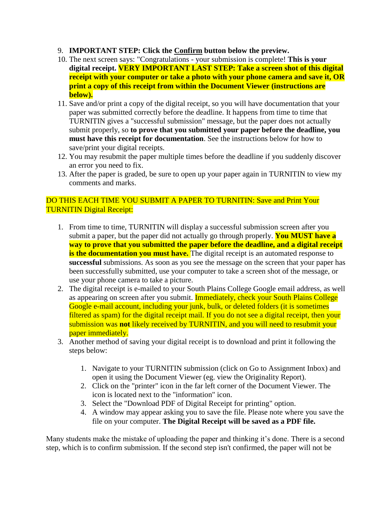- 9. **IMPORTANT STEP: Click the Confirm button below the preview.**
- 10. The next screen says: "Congratulations your submission is complete! **This is your digital receipt. VERY IMPORTANT LAST STEP: Take a screen shot of this digital receipt with your computer or take a photo with your phone camera and save it, OR print a copy of this receipt from within the Document Viewer (instructions are below).**
- 11. Save and/or print a copy of the digital receipt, so you will have documentation that your paper was submitted correctly before the deadline. It happens from time to time that TURNITIN gives a "successful submission" message, but the paper does not actually submit properly, so **to prove that you submitted your paper before the deadline, you must have this receipt for documentation**. See the instructions below for how to save/print your digital receipts.
- 12. You may resubmit the paper multiple times before the deadline if you suddenly discover an error you need to fix.
- 13. After the paper is graded, be sure to open up your paper again in TURNITIN to view my comments and marks.

## DO THIS EACH TIME YOU SUBMIT A PAPER TO TURNITIN: Save and Print Your TURNITIN Digital Receipt:

- 1. From time to time, TURNITIN will display a successful submission screen after you submit a paper, but the paper did not actually go through properly. **You MUST have a way to prove that you submitted the paper before the deadline, and a digital receipt is the documentation you must have.** The digital receipt is an automated response to **successful** submissions. As soon as you see the message on the screen that your paper has been successfully submitted, use your computer to take a screen shot of the message, or use your phone camera to take a picture.
- 2. The digital receipt is e-mailed to your South Plains College Google email address, as well as appearing on screen after you submit. **Immediately, check your South Plains College** Google e-mail account, including your junk, bulk, or deleted folders (it is sometimes filtered as spam) for the digital receipt mail. If you do not see a digital receipt, then your submission was **not** likely received by TURNITIN, and you will need to resubmit your paper immediately.
- 3. Another method of saving your digital receipt is to download and print it following the steps below:
	- 1. Navigate to your TURNITIN submission (click on Go to Assignment Inbox) and open it using the Document Viewer (eg. view the Originality Report).
	- 2. Click on the "printer" icon in the far left corner of the Document Viewer. The icon is located next to the "information" icon.
	- 3. Select the "Download PDF of Digital Receipt for printing" option.
	- 4. A window may appear asking you to save the file. Please note where you save the file on your computer. **The Digital Receipt will be saved as a PDF file.**

Many students make the mistake of uploading the paper and thinking it's done. There is a second step, which is to confirm submission. If the second step isn't confirmed, the paper will not be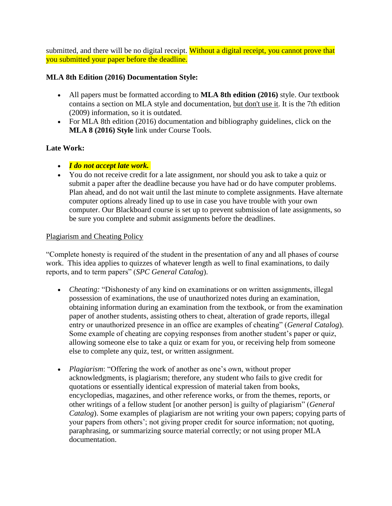submitted, and there will be no digital receipt. Without a digital receipt, you cannot prove that you submitted your paper before the deadline.

## **MLA 8th Edition (2016) Documentation Style:**

- All papers must be formatted according to **MLA 8th edition (2016)** style. Our textbook contains a section on MLA style and documentation, but don't use it. It is the 7th edition (2009) information, so it is outdated.
- For MLA 8th edition (2016) documentation and bibliography guidelines, click on the **MLA 8 (2016) Style** link under Course Tools.

## **Late Work:**

- *I do not accept late work.*
- You do not receive credit for a late assignment, nor should you ask to take a quiz or submit a paper after the deadline because you have had or do have computer problems. Plan ahead, and do not wait until the last minute to complete assignments. Have alternate computer options already lined up to use in case you have trouble with your own computer. Our Blackboard course is set up to prevent submission of late assignments, so be sure you complete and submit assignments before the deadlines.

## Plagiarism and Cheating Policy

"Complete honesty is required of the student in the presentation of any and all phases of course work. This idea applies to quizzes of whatever length as well to final examinations, to daily reports, and to term papers" (*SPC General Catalog*).

- *Cheating:* "Dishonesty of any kind on examinations or on written assignments, illegal possession of examinations, the use of unauthorized notes during an examination, obtaining information during an examination from the textbook, or from the examination paper of another students, assisting others to cheat, alteration of grade reports, illegal entry or unauthorized presence in an office are examples of cheating" (*General Catalog*). Some example of cheating are copying responses from another student's paper or quiz, allowing someone else to take a quiz or exam for you, or receiving help from someone else to complete any quiz, test, or written assignment.
- *Plagiarism*: "Offering the work of another as one's own, without proper acknowledgments, is plagiarism; therefore, any student who fails to give credit for quotations or essentially identical expression of material taken from books, encyclopedias, magazines, and other reference works, or from the themes, reports, or other writings of a fellow student [or another person] is guilty of plagiarism" (*General Catalog*). Some examples of plagiarism are not writing your own papers; copying parts of your papers from others'; not giving proper credit for source information; not quoting, paraphrasing, or summarizing source material correctly; or not using proper MLA documentation.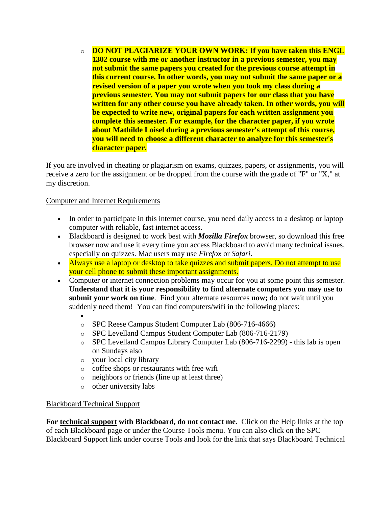o **DO NOT PLAGIARIZE YOUR OWN WORK: If you have taken this ENGL 1302 course with me or another instructor in a previous semester, you may not submit the same papers you created for the previous course attempt in this current course. In other words, you may not submit the same paper or a revised version of a paper you wrote when you took my class during a previous semester. You may not submit papers for our class that you have written for any other course you have already taken. In other words, you will be expected to write new, original papers for each written assignment you complete this semester. For example, for the character paper, if you wrote about Mathilde Loisel during a previous semester's attempt of this course, you will need to choose a different character to analyze for this semester's character paper.**

If you are involved in cheating or plagiarism on exams, quizzes, papers, or assignments, you will receive a zero for the assignment or be dropped from the course with the grade of "F" or "X," at my discretion.

Computer and Internet Requirements

- In order to participate in this internet course, you need daily access to a desktop or laptop computer with reliable, fast internet access.
- Blackboard is designed to work best with *Mozilla Firefox* browser, so download this free browser now and use it every time you access Blackboard to avoid many technical issues, especially on quizzes. Mac users may use *Firefox* or *Safari*.
- Always use a laptop or desktop to take quizzes and submit papers. Do not attempt to use your cell phone to submit these important assignments.
- Computer or internet connection problems may occur for you at some point this semester. **Understand that it is your responsibility to find alternate computers you may use to submit your work on time***.* Find your alternate resources **now;** do not wait until you suddenly need them! You can find computers/wifi in the following places:
	- o SPC Reese Campus Student Computer Lab (806-716-4666)
	- o SPC Levelland Campus Student Computer Lab (806-716-2179)
	- o SPC Levelland Campus Library Computer Lab (806-716-2299) this lab is open on Sundays also
	- o your local city library
	- o coffee shops or restaurants with free wifi
	- o neighbors or friends (line up at least three)
	- o other university labs

### Blackboard Technical Support

**For technical support with Blackboard, do not contact me**. Click on the Help links at the top of each Blackboard page or under the Course Tools menu. You can also click on the SPC Blackboard Support link under course Tools and look for the link that says Blackboard Technical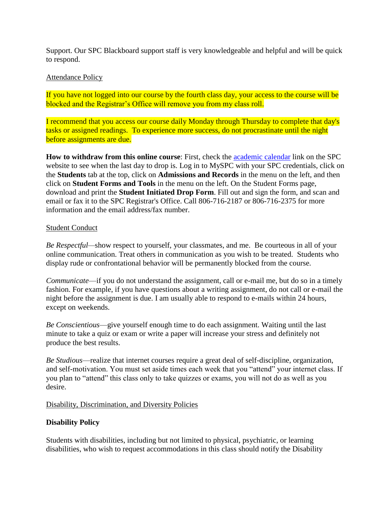Support. Our SPC Blackboard support staff is very knowledgeable and helpful and will be quick to respond.

### Attendance Policy

If you have not logged into our course by the fourth class day, your access to the course will be blocked and the Registrar's Office will remove you from my class roll.

I recommend that you access our course daily Monday through Thursday to complete that day's tasks or assigned readings. To experience more success, do not procrastinate until the night before assignments are due.

**How to withdraw from this online course**: First, check the [academic calendar](http://www.southplainscollege.edu/academiccalendar/index.php) link on the SPC website to see when the last day to drop is. Log in to MySPC with your SPC credentials, click on the **Students** tab at the top, click on **Admissions and Records** in the menu on the left, and then click on **Student Forms and Tools** in the menu on the left. On the Student Forms page, download and print the **Student Initiated Drop Form**. Fill out and sign the form, and scan and email or fax it to the SPC Registrar's Office. Call 806-716-2187 or 806-716-2375 for more information and the email address/fax number.

### Student Conduct

*Be Respectful—*show respect to yourself, your classmates, and me. Be courteous in all of your online communication. Treat others in communication as you wish to be treated. Students who display rude or confrontational behavior will be permanently blocked from the course.

*Communicate*—if you do not understand the assignment, call or e-mail me, but do so in a timely fashion. For example, if you have questions about a writing assignment, do not call or e-mail the night before the assignment is due. I am usually able to respond to e-mails within 24 hours, except on weekends.

*Be Conscientious*—give yourself enough time to do each assignment. Waiting until the last minute to take a quiz or exam or write a paper will increase your stress and definitely not produce the best results.

*Be Studious*—realize that internet courses require a great deal of self-discipline, organization, and self-motivation. You must set aside times each week that you "attend" your internet class. If you plan to "attend" this class only to take quizzes or exams, you will not do as well as you desire.

### Disability, Discrimination, and Diversity Policies

### **Disability Policy**

Students with disabilities, including but not limited to physical, psychiatric, or learning disabilities, who wish to request accommodations in this class should notify the Disability